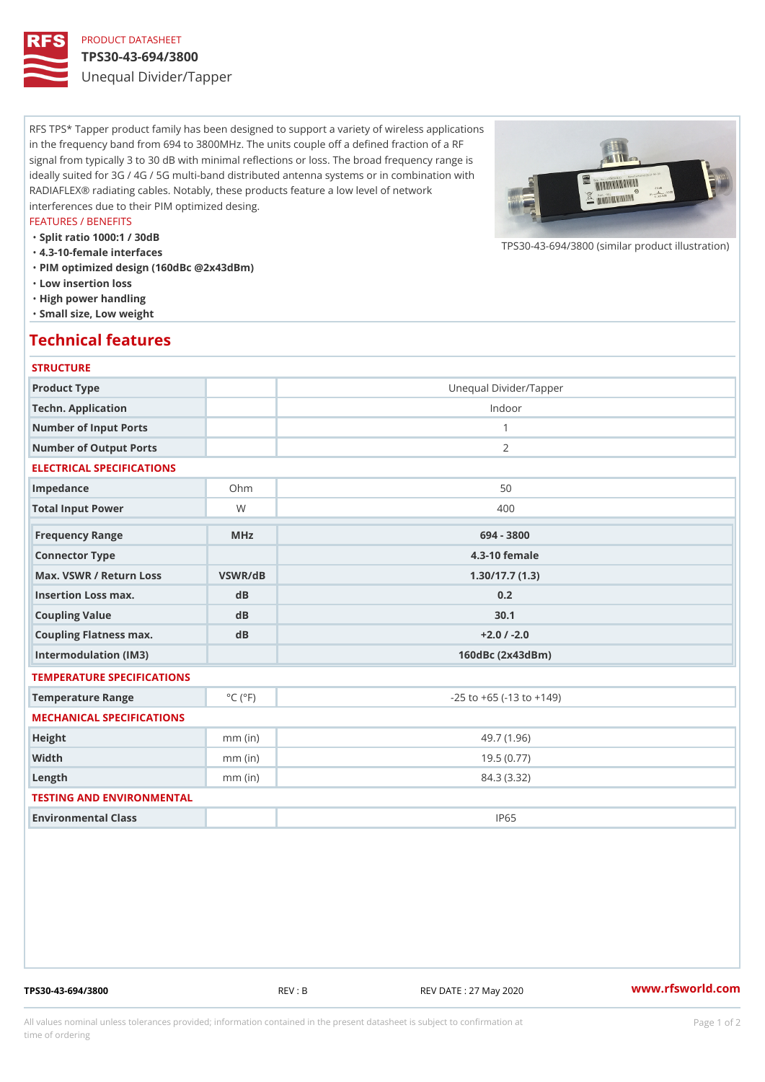## PRODUCT DATASHEET

#### TPS30-43-694/3800

Unequal Divider/Tapper

RFS TPS\* Tapper product family has been designed to support a variety of wireless applications in the frequency band from 694 to 3800MHz. The units couple off a defined fraction of a RF signal from typically 3 to 30 dB with minimal reflections or loss. The broad frequency range is ideally suited for 3G / 4G / 5G multi-band distributed antenna systems or in combination with RADIAFLEX® radiating cables. Notably, these products feature a low level of network interferences due to their PIM optimized desing.

### FEATURES / BENEFITS

"Split ratio 1000:1 / 30dB

- "4.3-10-female interfaces
- "PIM optimized design (160dBc @2x43dBm)
- "Low insertion loss
- "High power handling
- "Small size, Low weight

## Technical features

#### **STRUCTURE**

| Product Type                                     |                             | Unequal Divider/Tapper             |
|--------------------------------------------------|-----------------------------|------------------------------------|
| Techn. Application                               |                             | Indoor                             |
| Number of Input Ports                            |                             | $\mathbf{1}$                       |
| Number of Output Ports                           |                             | 2                                  |
| ELECTRICAL SPECIFICATIONS                        |                             |                                    |
| Impedance                                        | $Oh$ m                      | 50                                 |
| Total Input Power                                | W                           | 400                                |
| Frequency Range                                  | $M$ H z                     | 694 - 3800                         |
| Connector Type                                   |                             | $4.3 - 10$ female                  |
| Max. VSWR / Return LossVSWR/dB<br>1.30/17.7(1.3) |                             |                                    |
| Insertion Loss max.                              | $d$ B                       | 0.2                                |
| Coupling Value                                   | dB                          | 30.1                               |
| Coupling Flatness max.                           | dB                          | $+2.0$ / -2.0                      |
| Intermodulation (IM3)                            |                             | 160dBc (2x43dBm)                   |
| TEMPERATURE SPECIFICATIONS                       |                             |                                    |
| Temperature Range                                | $^{\circ}$ C ( $^{\circ}$ F | $-25$ to $+65$ ( $-13$ to $+149$ ) |
| MECHANICAL SPECIFICATIONS                        |                             |                                    |
| Height                                           | $mm$ (in)                   | 49.7(1.96)                         |
| Width                                            | $mm$ (in)                   | 19.5(0.77)                         |
| $L$ ength                                        | $mm$ (in)                   | 84.3 (3.32)                        |
| TESTING AND ENVIRONMENTAL                        |                             |                                    |
| Environmental Class                              |                             | <b>IP65</b>                        |

TPS30-43-694/3800 REV : B REV DATE : 27 May 2020 [www.](https://www.rfsworld.com)rfsworld.com

 $TPS30-43-694/3800$  (similar product

All values nominal unless tolerances provided; information contained in the present datasheet is subject to Pcapgeign manation time of ordering